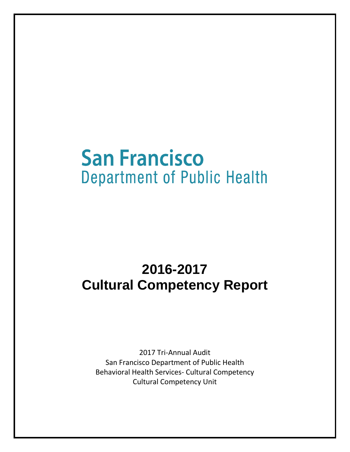# **San Francisco Department of Public Health**

# **2016-2017 Cultural Competency Report**

2017 Tri-Annual Audit San Francisco Department of Public Health Behavioral Health Services- Cultural Competency Cultural Competency Unit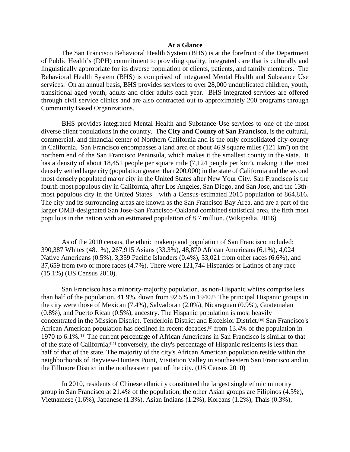#### **At a Glance**

The San Francisco Behavioral Health System (BHS) is at the forefront of the Department of Public Health's (DPH) commitment to providing quality, integrated care that is culturally and linguistically appropriate for its diverse population of clients, patients, and family members. The Behavioral Health System (BHS) is comprised of integrated Mental Health and Substance Use services. On an annual basis, BHS provides services to over 28,000 unduplicated children, youth, transitional aged youth, adults and older adults each year. BHS integrated services are offered through civil service clinics and are also contracted out to approximately 200 programs through Community Based Organizations.

BHS provides integrated Mental Health and Substance Use services to one of the most diverse client populations in the country. The **City and County of San Francisco**, is the cultural, commercial, and financial center of Northern California and is the only consolidated city-county in California. San Francisco encompasses a land area of about 46.9 square miles (121 km<sup>2</sup>) on the northern end of the San Francisco Peninsula, which makes it the smallest county in the state. It has a density of about 18,451 people per square mile (7,124 people per km<sup>2</sup>), making it the most densely settled large city (population greater than 200,000) in the state of California and the second most densely populated major city in the United States after New Your City. San Francisco is the [fourth-most populous city](https://en.wikipedia.org/wiki/List_of_cities_and_towns_in_California) in California, after [Los Angeles,](https://en.wikipedia.org/wiki/Los_Angeles) [San Diego,](https://en.wikipedia.org/wiki/San_Diego) and [San Jose,](https://en.wikipedia.org/wiki/San_Jose,_California) and th[e 13th](https://en.wikipedia.org/wiki/List_of_United_States_cities_by_population)[most populous city](https://en.wikipedia.org/wiki/List_of_United_States_cities_by_population) in the United States—with a Census-estimated 2015 population of 864,816. The city and its surrounding areas are known as the [San Francisco Bay Area,](https://en.wikipedia.org/wiki/San_Francisco_Bay_Area) and are a part of the larger [OMB-](https://en.wikipedia.org/wiki/Office_of_Management_and_Budget)designated [San Jose-San Francisco-Oakland](https://en.wikipedia.org/wiki/San_Jose-San_Francisco-Oakland) [combined statistical area,](https://en.wikipedia.org/wiki/Combined_statistical_area) the [fifth most](https://en.wikipedia.org/wiki/Combined_Statistical_Area#List_of_Combined_Statistical_Areas)  [populous](https://en.wikipedia.org/wiki/Combined_Statistical_Area#List_of_Combined_Statistical_Areas) in the nation with an estimated population of 8.7 million. (Wikipedia, 2016)

As of the 2010 census, the ethnic makeup and population of San Francisco included: 390,387 [Whites](https://en.wikipedia.org/wiki/White_(U.S._Census)) (48.1%), 267,915 [Asians](https://en.wikipedia.org/wiki/Asian_(U.S._Census)) (33.3%), 48,870 [African Americans](https://en.wikipedia.org/wiki/African_American_(U.S._Census)) (6.1%), 4,024 [Native Americans](https://en.wikipedia.org/wiki/Native_American_(U.S._Census)) (0.5%), 3,359 [Pacific Islanders](https://en.wikipedia.org/wiki/Pacific_Islander_(U.S._Census)) (0.4%), 53,021 from [other races](https://en.wikipedia.org/wiki/Race_(United_States_Census)) (6.6%), and 37,659 from two or more races (4.7%). There were 121,744 [Hispanics](https://en.wikipedia.org/wiki/Hispanic_(U.S._Census)) or [Latinos](https://en.wikipedia.org/wiki/Latino_(U.S._Census)) of any race (15.1%) (US Census 2010).

San Francisco has a [minority-majority](https://en.wikipedia.org/wiki/Minority-majority) population, as non-Hispanic [whites](https://en.wikipedia.org/wiki/White_American) comprise less than half of the population, 41.9%, down from 92.5% in 1940.<sup>[9]</sup> The principal [Hispanic](https://en.wikipedia.org/wiki/Hispanics_in_the_United_States) groups in the city were those of [Mexican](https://en.wikipedia.org/wiki/Mexican_American) (7.4%), [Salvadoran](https://en.wikipedia.org/wiki/Salvadoran_American) (2.0%), [Nicaraguan](https://en.wikipedia.org/wiki/Nicaraguan_American) (0.9%), [Guatemalan](https://en.wikipedia.org/wiki/Guatemalan_American) (0.8%), and [Puerto Rican](https://en.wikipedia.org/wiki/Stateside_Puerto_Rican) (0.5%), ancestry. The Hispanic population is most heavily concentrated in the [Mission District,](https://en.wikipedia.org/wiki/Mission_District,_San_Francisco) Tenderloin District and [Excelsior District.](https://en.wikipedia.org/wiki/Excelsior_District,_San_Francisco) [\[10\]](https://en.wikipedia.org/wiki/Demographics_of_San_Francisco#cite_note-interactivemap-10) San Francisco's [African American](https://en.wikipedia.org/wiki/Black_American) population has declined in recent decades,<sup>[9]</sup> from 13.4% of the population in 1970 to 6.1%[.\[11\]](https://en.wikipedia.org/wiki/Demographics_of_San_Francisco#cite_note-SF_QuickFacts-11) The current percentage of African Americans in San Francisco is similar to that of the state of California[;\[11\]](https://en.wikipedia.org/wiki/Demographics_of_San_Francisco#cite_note-SF_QuickFacts-11) conversely, the city's percentage of Hispanic residents is less than half of that of the state. The majority of the city's African American population reside within the neighborhoods of [Bayview-Hunters Point,](https://en.wikipedia.org/wiki/Bayview-Hunters_Point,_San_Francisco) [Visitation Valley](https://en.wikipedia.org/wiki/Visitacion_Valley,_San_Francisco) in southeastern San Francisco and in the [Fillmore District](https://en.wikipedia.org/wiki/Fillmore_District,_San_Francisco) in the northeastern part of the city. (US Census 2010)

In 2010, residents of [Chinese ethnicity](https://en.wikipedia.org/wiki/Chinese_American) constituted the largest single ethnic minority group in San Francisco at 21.4% of the population; the other Asian groups are [Filipinos](https://en.wikipedia.org/wiki/Filipino_American) (4.5%), [Vietnamese](https://en.wikipedia.org/wiki/Vietnamese_American) (1.6%), [Japanese](https://en.wikipedia.org/wiki/Japanese_American) (1.3%), [Asian Indians](https://en.wikipedia.org/wiki/Indian_American) (1.2%), [Koreans](https://en.wikipedia.org/wiki/Korean_American) (1.2%), [Thais](https://en.wikipedia.org/wiki/Thai_American) (0.3%),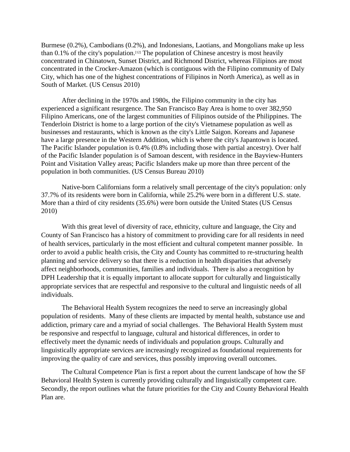[Burmese](https://en.wikipedia.org/wiki/Burmese_American) (0.2%), [Cambodians](https://en.wikipedia.org/wiki/Cambodian_American) (0.2%), and [Indonesians,](https://en.wikipedia.org/wiki/Indonesian_American) [Laotians,](https://en.wikipedia.org/wiki/Laotian_American) and [Mongolians](https://en.wikipedia.org/wiki/Mongolian_American) make up less than  $0.1\%$  of the city's population.<sup>[12]</sup> The population of Chinese ancestry is most heavily concentrated in Chinatown, [Sunset District,](https://en.wikipedia.org/wiki/Sunset_District,_San_Francisco) and [Richmond District,](https://en.wikipedia.org/wiki/Richmond_District,_San_Francisco) whereas Filipinos are most concentrated in the [Crocker-Amazon](https://en.wikipedia.org/wiki/Crocker-Amazon,_San_Francisco) (which is contiguous with the Filipino community of [Daly](https://en.wikipedia.org/wiki/Daly_City,_California)  [City,](https://en.wikipedia.org/wiki/Daly_City,_California) which has one of the highest concentrations of Filipinos in North America), as well as in [South of Mar](https://en.wikipedia.org/wiki/South_of_Market,_San_Francisco)ket. (US Census 2010)

After declining in the 1970s and 1980s, the [Filipino](https://en.wikipedia.org/wiki/Filipino_American) community in the city has experienced a significant resurgence. The San Francisco Bay Area is home to over 382,950 Filipino Americans, one of the largest communities of Filipinos outside of the Philippines. The [Tenderloin District](https://en.wikipedia.org/wiki/Tenderloin,_San_Francisco) is home to a large portion of the city's Vietnamese population as well as businesses and restaurants, which is known as the city's Little Saigon. Koreans and Japanese have a large presence in the [Western Addition,](https://en.wikipedia.org/wiki/Western_Addition,_San_Francisco) which is where the city's [Japantown](https://en.wikipedia.org/wiki/Japantown,_San_Francisco) is located. The [Pacific Islander](https://en.wikipedia.org/wiki/Pacific_Islander_American) population is 0.4% (0.8% including those with partial ancestry). Over half of the Pacific Islander population is of [Samoan](https://en.wikipedia.org/wiki/Samoan_American) descent, with residence in the [Bayview-Hunters](https://en.wikipedia.org/wiki/Bayview-Hunters_Point,_San_Francisco)  [Point](https://en.wikipedia.org/wiki/Bayview-Hunters_Point,_San_Francisco) and [Visitation Valley](https://en.wikipedia.org/wiki/Visitacion_Valley,_San_Francisco) areas; Pacific Islanders make up more than three percent of the population in both communities. (US Census Bureau 2010)

Native-born Californians form a relatively small percentage of the city's population: only 37.7% of its residents were born in California, while 25.2% were born in a different U.S. state. More than a third of city residents (35.6%) were born outside the United States (US Census 2010)

With this great level of diversity of race, ethnicity, culture and language, the City and County of San Francisco has a history of commitment to providing care for all residents in need of health services, particularly in the most efficient and cultural competent manner possible. In order to avoid a public health crisis, the City and County has committed to re-structuring health planning and service delivery so that there is a reduction in health disparities that adversely affect neighborhoods, communities, families and individuals. There is also a recognition by DPH Leadership that it is equally important to allocate support for culturally and linguistically appropriate services that are respectful and responsive to the cultural and linguistic needs of all individuals.

The Behavioral Health System recognizes the need to serve an increasingly global population of residents. Many of these clients are impacted by mental health, substance use and addiction, primary care and a myriad of social challenges. The Behavioral Health System must be responsive and respectful to language, cultural and historical differences, in order to effectively meet the dynamic needs of individuals and population groups. Culturally and linguistically appropriate services are increasingly recognized as foundational requirements for improving the quality of care and services, thus possibly improving overall outcomes.

The Cultural Competence Plan is first a report about the current landscape of how the SF Behavioral Health System is currently providing culturally and linguistically competent care. Secondly, the report outlines what the future priorities for the City and County Behavioral Health Plan are.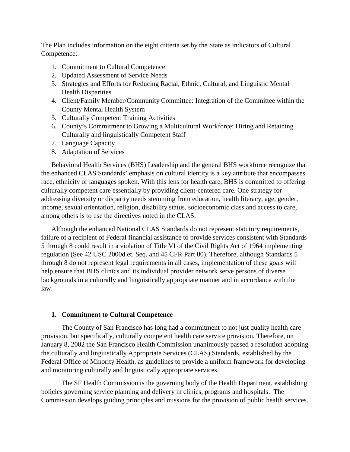The Plan includes information on the eight criteria set by the State as indicators of Cultural Competence:

- 1. Commitment to Cultural Competence
- 2. Updated Assessment of Service Needs
- 3. Strategies and Efforts for Reducing Racial, Ethnic, Cultural, and Linguistic Mental Health Disparities
- 4. Client/Family Member/Community Committee: Integration of the Committee within the County Mental Health System
- 5. Culturally Competent Training Activities
- 6. County's Commitment to Growing a Multicultural Workforce: Hiring and Retaining Culturally and linguistically Competent Staff
- 7. Language Capacity
- 8. Adaptation of Services

Behavioral Health Services (BHS) Leadership and the general BHS workforce recognize that the enhanced CLAS Standards' emphasis on cultural identity is a key attribute that encompasses race, ethnicity or languages spoken. With this lens for health care, BHS is committed to offering culturally competent care essentially by providing client-centered care. One strategy for addressing diversity or disparity needs stemming from education, health literacy, age, gender, income, sexual orientation, religion, disability status, socioeconomic class and access to care, among others is to use the directives noted in the CLAS.

Although the enhanced National CLAS Standards do not represent statutory requirements, failure of a recipient of Federal financial assistance to provide services consistent with Standards 5 through 8 could result in a violation of Title VI of the Civil Rights Act of 1964 implementing regulation (See 42 USC 2000d et. Seq. and 45 CFR Part 80). Therefore, although Standards 5 through 8 do not represent legal requirements in all cases, implementation of these goals will help ensure that BHS clinics and its individual provider network serve persons of diverse backgrounds in a culturally and linguistically appropriate manner and in accordance with the law.

#### **1. Commitment to Cultural Competence**

The County of San Francisco has long had a commitment to not just quality health care provision, but specifically, culturally competent health care service provision. Therefore, on January 8, 2002 the San Francisco Health Commission unanimously passed a resolution adopting the culturally and linguistically Appropriate Services (CLAS) Standards, established by the Federal Office of Minority Health, as guidelines to provide a uniform framework for developing and monitoring culturally and linguistically appropriate services.

The SF Health Commission is the governing body of the Health Department, establishing policies governing service planning and delivery in clinics, programs and hospitals. The Commission develops guiding principles and missions for the provision of public health services.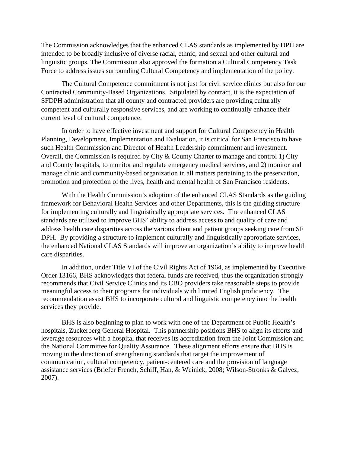The Commission acknowledges that the enhanced CLAS standards as implemented by DPH are intended to be broadly inclusive of diverse racial, ethnic, and sexual and other cultural and linguistic groups. The Commission also approved the formation a Cultural Competency Task Force to address issues surrounding Cultural Competency and implementation of the policy.

The Cultural Competence commitment is not just for civil service clinics but also for our Contracted Community-Based Organizations. Stipulated by contract, it is the expectation of SFDPH administration that all county and contracted providers are providing culturally competent and culturally responsive services, and are working to continually enhance their current level of cultural competence.

In order to have effective investment and support for Cultural Competency in Health Planning, Development, Implementation and Evaluation, it is critical for San Francisco to have such Health Commission and Director of Health Leadership commitment and investment. Overall, the Commission is required by City & County Charter to manage and control 1) City and County hospitals, to monitor and regulate emergency medical services, and 2) monitor and manage clinic and community-based organization in all matters pertaining to the preservation, promotion and protection of the lives, health and mental health of San Francisco residents.

With the Health Commission's adoption of the enhanced CLAS Standards as the guiding framework for Behavioral Health Services and other Departments, this is the guiding structure for implementing culturally and linguistically appropriate services. The enhanced CLAS standards are utilized to improve BHS' ability to address access to and quality of care and address health care disparities across the various client and patient groups seeking care from SF DPH. By providing a structure to implement culturally and linguistically appropriate services, the enhanced National CLAS Standards will improve an organization's ability to improve health care disparities.

In addition, under Title VI of the Civil Rights Act of 1964, as implemented by Executive Order 13166, BHS acknowledges that federal funds are received, thus the organization strongly recommends that Civil Service Clinics and its CBO providers take reasonable steps to provide meaningful access to their programs for individuals with limited English proficiency. The recommendation assist BHS to incorporate cultural and linguistic competency into the health services they provide.

BHS is also beginning to plan to work with one of the Department of Public Health's hospitals, Zuckerberg General Hospital. This partnership positions BHS to align its efforts and leverage resources with a hospital that receives its accreditation from the Joint Commission and the National Committee for Quality Assurance. These alignment efforts ensure that BHS is moving in the direction of strengthening standards that target the improvement of communication, cultural competency, patient-centered care and the provision of language assistance services (Briefer French, Schiff, Han, & Weinick, 2008; Wilson-Stronks & Galvez, 2007).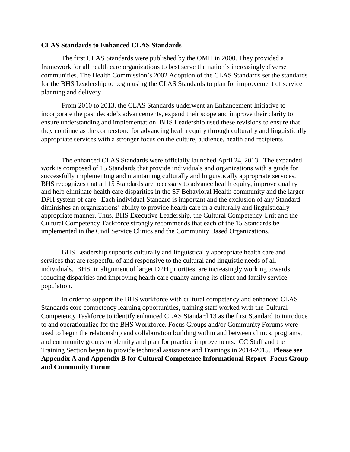#### **CLAS Standards to Enhanced CLAS Standards**

The first CLAS Standards were published by the OMH in 2000. They provided a framework for all health care organizations to best serve the nation's increasingly diverse communities. The Health Commission's 2002 Adoption of the CLAS Standards set the standards for the BHS Leadership to begin using the CLAS Standards to plan for improvement of service planning and delivery

From 2010 to 2013, the CLAS Standards underwent an Enhancement Initiative to incorporate the past decade's advancements, expand their scope and improve their clarity to ensure understanding and implementation. BHS Leadership used these revisions to ensure that they continue as the cornerstone for advancing health equity through culturally and linguistically appropriate services with a stronger focus on the culture, audience, health and recipients

The enhanced CLAS Standards were officially launched April 24, 2013. The expanded work is composed of 15 Standards that provide individuals and organizations with a guide for successfully implementing and maintaining culturally and linguistically appropriate services. BHS recognizes that all 15 Standards are necessary to advance health equity, improve quality and help eliminate health care disparities in the SF Behavioral Health community and the larger DPH system of care. Each individual Standard is important and the exclusion of any Standard diminishes an organizations' ability to provide health care in a culturally and linguistically appropriate manner. Thus, BHS Executive Leadership, the Cultural Competency Unit and the Cultural Competency Taskforce strongly recommends that each of the 15 Standards be implemented in the Civil Service Clinics and the Community Based Organizations.

BHS Leadership supports culturally and linguistically appropriate health care and services that are respectful of and responsive to the cultural and linguistic needs of all individuals. BHS, in alignment of larger DPH priorities, are increasingly working towards reducing disparities and improving health care quality among its client and family service population.

In order to support the BHS workforce with cultural competency and enhanced CLAS Standards core competency learning opportunities, training staff worked with the Cultural Competency Taskforce to identify enhanced CLAS Standard 13 as the first Standard to introduce to and operationalize for the BHS Workforce. Focus Groups and/or Community Forums were used to begin the relationship and collaboration building within and between clinics, programs, and community groups to identify and plan for practice improvements. CC Staff and the Training Section began to provide technical assistance and Trainings in 2014-2015. **Please see Appendix A and Appendix B for Cultural Competence Informational Report- Focus Group and Community Forum**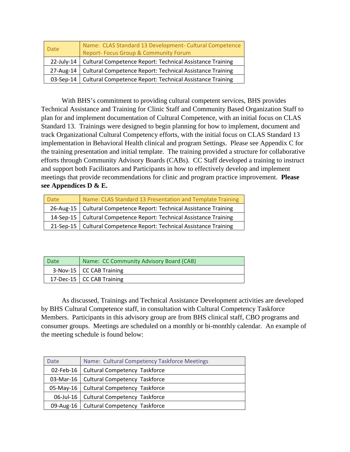| Name: CLAS Standard 13 Development- Cultural Competence<br><b>Date</b><br><b>Report-Focus Group &amp; Community Forum</b> |                                                                        |  |  |
|---------------------------------------------------------------------------------------------------------------------------|------------------------------------------------------------------------|--|--|
|                                                                                                                           | 22-July-14   Cultural Competence Report: Technical Assistance Training |  |  |
|                                                                                                                           | 27-Aug-14   Cultural Competence Report: Technical Assistance Training  |  |  |
|                                                                                                                           | 03-Sep-14   Cultural Competence Report: Technical Assistance Training  |  |  |

With BHS's commitment to providing cultural competent services, BHS provides Technical Assistance and Training for Clinic Staff and Community Based Organization Staff to plan for and implement documentation of Cultural Competence, with an initial focus on CLAS Standard 13. Trainings were designed to begin planning for how to implement, document and track Organizational Cultural Competency efforts, with the initial focus on CLAS Standard 13 implementation in Behavioral Health clinical and program Settings. Please see Appendix C for the training presentation and initial template. The training provided a structure for collaborative efforts through Community Advisory Boards (CABs). CC Staff developed a training to instruct and support both Facilitators and Participants in how to effectively develop and implement meetings that provide recommendations for clinic and program practice improvement. **Please see Appendices D & E.**

| <b>Date</b> | Name: CLAS Standard 13 Presentation and Template Training             |
|-------------|-----------------------------------------------------------------------|
|             | 26-Aug-15   Cultural Competence Report: Technical Assistance Training |
|             | 14-Sep-15   Cultural Competence Report: Technical Assistance Training |
|             | 21-Sep-15   Cultural Competence Report: Technical Assistance Training |

| <b>Date</b> | Name: CC Community Advisory Board (CAB) |  |  |  |
|-------------|-----------------------------------------|--|--|--|
|             | 3-Nov-15   CC CAB Training              |  |  |  |
|             | 17-Dec-15   CC CAB Training             |  |  |  |

As discussed, Trainings and Technical Assistance Development activities are developed by BHS Cultural Competence staff, in consultation with Cultural Competency Taskforce Members. Participants in this advisory group are from BHS clinical staff, CBO programs and consumer groups. Meetings are scheduled on a monthly or bi-monthly calendar. An example of the meeting schedule is found below:

| Date | Name: Cultural Competency Taskforce Meetings |
|------|----------------------------------------------|
|      | 02-Feb-16   Cultural Competency Taskforce    |
|      | 03-Mar-16   Cultural Competency Taskforce    |
|      | 05-May-16   Cultural Competency Taskforce    |
|      | 06-Jul-16   Cultural Competency Taskforce    |
|      | 09-Aug-16   Cultural Competency Taskforce    |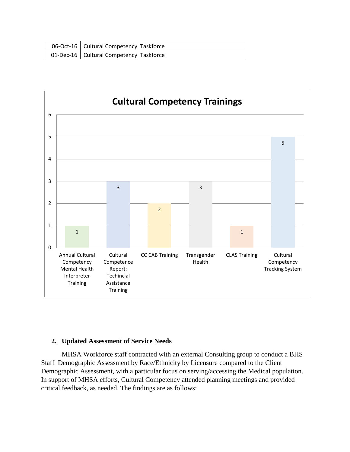| 06-Oct-16   Cultural Competency Taskforce |
|-------------------------------------------|
| 01-Dec-16   Cultural Competency Taskforce |



# **2. Updated Assessment of Service Needs**

MHSA Workforce staff contracted with an external Consulting group to conduct a BHS Staff Demographic Assessment by Race/Ethnicity by Licensure compared to the Client Demographic Assessment, with a particular focus on serving/accessing the Medical population. In support of MHSA efforts, Cultural Competency attended planning meetings and provided critical feedback, as needed. The findings are as follows: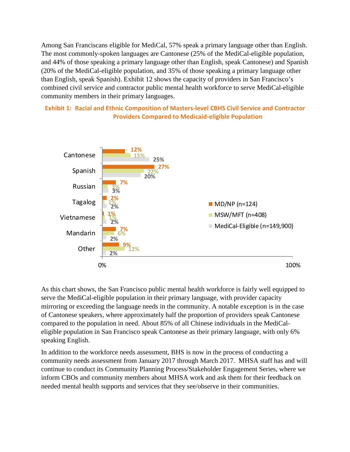Among San Franciscans eligible for MediCal, 57% speak a primary language other than English. The most commonly-spoken languages are Cantonese (25% of the MediCal-eligible population, and 44% of those speaking a primary language other than English, speak Cantonese) and Spanish (20% of the MediCal-eligible population, and 35% of those speaking a primary language other than English, speak Spanish). Exhibit 12 shows the capacity of providers in San Francisco's combined civil service and contractor public mental health workforce to serve MediCal-eligible community members in their primary languages.

**Exhibit 1: Racial and Ethnic Composition of Masters-level CBHS Civil Service and Contractor Providers Compared to Medicaid-eligible Population**



As this chart shows, the San Francisco public mental health workforce is fairly well equipped to serve the MediCal-eligible population in their primary language, with provider capacity mirroring or exceeding the language needs in the community. A notable exception is in the case of Cantonese speakers, where approximately half the proportion of providers speak Cantonese compared to the population in need. About 85% of all Chinese individuals in the MediCaleligible population in San Francisco speak Cantonese as their primary language, with only 6% speaking English.

In addition to the workforce needs assessment, BHS is now in the process of conducting a community needs assessment from January 2017 through March 2017. MHSA staff has and will continue to conduct its Community Planning Process/Stakeholder Engagement Series, where we inform CBOs and community members about MHSA work and ask them for their feedback on needed mental health supports and services that they see/observe in their communities.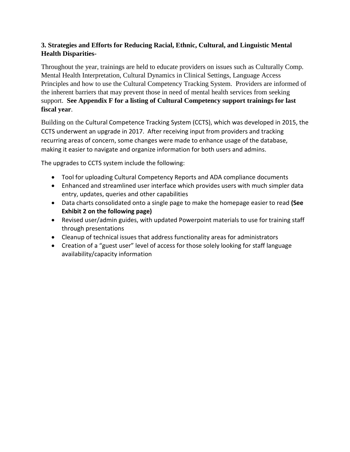# **3. Strategies and Efforts for Reducing Racial, Ethnic, Cultural, and Linguistic Mental Health Disparities-**

Throughout the year, trainings are held to educate providers on issues such as Culturally Comp. Mental Health Interpretation, Cultural Dynamics in Clinical Settings, Language Access Principles and how to use the Cultural Competency Tracking System. Providers are informed of the inherent barriers that may prevent those in need of mental health services from seeking support. **See Appendix F for a listing of Cultural Competency support trainings for last fiscal year**.

Building on the Cultural Competence Tracking System (CCTS), which was developed in 2015, the CCTS underwent an upgrade in 2017. After receiving input from providers and tracking recurring areas of concern, some changes were made to enhance usage of the database, making it easier to navigate and organize information for both users and admins.

The upgrades to CCTS system include the following:

- Tool for uploading Cultural Competency Reports and ADA compliance documents
- Enhanced and streamlined user interface which provides users with much simpler data entry, updates, queries and other capabilities
- Data charts consolidated onto a single page to make the homepage easier to read **(See Exhibit 2 on the following page)**
- Revised user/admin guides, with updated Powerpoint materials to use for training staff through presentations
- Cleanup of technical issues that address functionality areas for administrators
- Creation of a "guest user" level of access for those solely looking for staff language availability/capacity information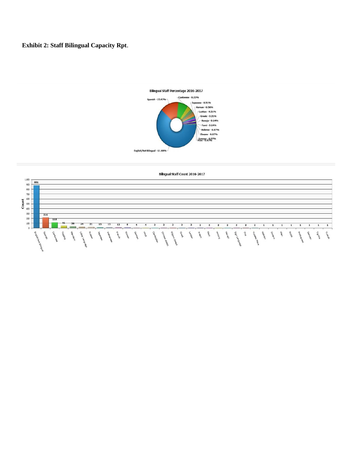# **Exhibit 2: Staff Bilingual Capacity Rpt**.



Bilingual Staff Count 2016-2017

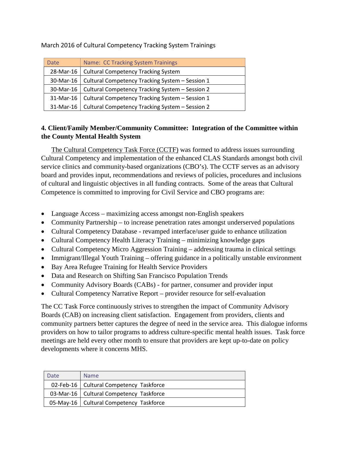March 2016 of Cultural Competency Tracking System Trainings

| <b>Date</b> | Name: CC Tracking System Trainings                          |  |  |  |
|-------------|-------------------------------------------------------------|--|--|--|
| 28-Mar-16   | <b>Cultural Competency Tracking System</b>                  |  |  |  |
| 30-Mar-16   | Cultural Competency Tracking System - Session 1             |  |  |  |
| 30-Mar-16   | Cultural Competency Tracking System - Session 2             |  |  |  |
| 31-Mar-16   | Cultural Competency Tracking System - Session 1             |  |  |  |
|             | 31-Mar-16   Cultural Competency Tracking System - Session 2 |  |  |  |

# **4. Client/Family Member/Community Committee: Integration of the Committee within the County Mental Health System**

The Cultural Competency Task Force (CCTF) was formed to address issues surrounding Cultural Competency and implementation of the enhanced CLAS Standards amongst both civil service clinics and community-based organizations (CBO's). The CCTF serves as an advisory board and provides input, recommendations and reviews of policies, procedures and inclusions of cultural and linguistic objectives in all funding contracts. Some of the areas that Cultural Competence is committed to improving for Civil Service and CBO programs are:

- Language Access maximizing access amongst non-English speakers
- Community Partnership to increase penetration rates amongst underserved populations
- Cultural Competency Database revamped interface/user guide to enhance utilization
- Cultural Competency Health Literacy Training minimizing knowledge gaps
- Cultural Competency Micro Aggression Training addressing trauma in clinical settings
- Immigrant/Illegal Youth Training offering guidance in a politically unstable environment
- Bay Area Refugee Training for Health Service Providers
- Data and Research on Shifting San Francisco Population Trends
- Community Advisory Boards (CABs) for partner, consumer and provider input
- Cultural Competency Narrative Report provider resource for self-evaluation

The CC Task Force continuously strives to strengthen the impact of Community Advisory Boards (CAB) on increasing client satisfaction. Engagement from providers, clients and community partners better captures the degree of need in the service area. This dialogue informs providers on how to tailor programs to address culture-specific mental health issues. Task force meetings are held every other month to ensure that providers are kept up-to-date on policy developments where it concerns MHS.

| Date | <b>Name</b>                               |
|------|-------------------------------------------|
|      | 02-Feb-16   Cultural Competency Taskforce |
|      | 03-Mar-16   Cultural Competency Taskforce |
|      | 05-May-16   Cultural Competency Taskforce |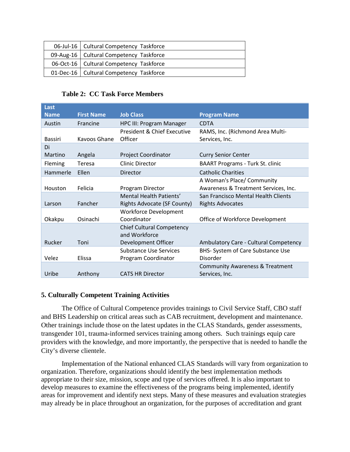| 06-Jul-16   Cultural Competency Taskforce |
|-------------------------------------------|
| 09-Aug-16   Cultural Competency Taskforce |
| 06-Oct-16   Cultural Competency Taskforce |
| 01-Dec-16   Cultural Competency Taskforce |

# **Table 2: CC Task Force Members**

| Last           |                   |                                    |                                            |
|----------------|-------------------|------------------------------------|--------------------------------------------|
| <b>Name</b>    | <b>First Name</b> | <b>Job Class</b>                   | <b>Program Name</b>                        |
| Austin         | Francine          | <b>HPC III: Program Manager</b>    | <b>CDTA</b>                                |
|                |                   | President & Chief Executive        | RAMS, Inc. (Richmond Area Multi-           |
| <b>Bassiri</b> | Kavoos Ghane      | Officer                            | Services, Inc.                             |
| Di             |                   |                                    |                                            |
| Martino        | Angela            | <b>Project Coordinator</b>         | <b>Curry Senior Center</b>                 |
| Fleming        | Teresa            | <b>Clinic Director</b>             | <b>BAART Programs - Turk St. clinic</b>    |
| Hammerle       | <b>Ellen</b>      | Director                           | <b>Catholic Charities</b>                  |
|                |                   |                                    | A Woman's Place/ Community                 |
| Houston        | Felicia           | Program Director                   | Awareness & Treatment Services, Inc.       |
|                |                   | Mental Health Patients'            | San Francisco Mental Health Clients        |
| Larson         | Fancher           | <b>Rights Advocate (SF County)</b> | <b>Rights Advocates</b>                    |
|                |                   | <b>Workforce Development</b>       |                                            |
| Okakpu         | Osinachi          | Coordinator                        | Office of Workforce Development            |
|                |                   | <b>Chief Cultural Competency</b>   |                                            |
|                |                   | and Workforce                      |                                            |
| Rucker         | Toni              | Development Officer                | Ambulatory Care - Cultural Competency      |
|                |                   | Substance Use Services             | BHS- System of Care Substance Use          |
| Velez          | Elissa            | Program Coordinator                | Disorder                                   |
|                |                   |                                    | <b>Community Awareness &amp; Treatment</b> |
| Uribe          | Anthony           | <b>CATS HR Director</b>            | Services, Inc.                             |

# **5. Culturally Competent Training Activities**

The Office of Cultural Competence provides trainings to Civil Service Staff, CBO staff and BHS Leadership on critical areas such as CAB recruitment, development and maintenance. Other trainings include those on the latest updates in the CLAS Standards, gender assessments, transgender 101, trauma-informed services training among others. Such trainings equip care providers with the knowledge, and more importantly, the perspective that is needed to handle the City's diverse clientele.

Implementation of the National enhanced CLAS Standards will vary from organization to organization. Therefore, organizations should identify the best implementation methods appropriate to their size, mission, scope and type of services offered. It is also important to develop measures to examine the effectiveness of the programs being implemented, identify areas for improvement and identify next steps. Many of these measures and evaluation strategies may already be in place throughout an organization, for the purposes of accreditation and grant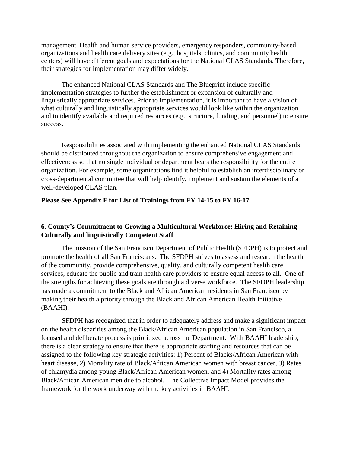management. Health and human service providers, emergency responders, community-based organizations and health care delivery sites (e.g., hospitals, clinics, and community health centers) will have different goals and expectations for the National CLAS Standards. Therefore, their strategies for implementation may differ widely.

The enhanced National CLAS Standards and The Blueprint include specific implementation strategies to further the establishment or expansion of culturally and linguistically appropriate services. Prior to implementation, it is important to have a vision of what culturally and linguistically appropriate services would look like within the organization and to identify available and required resources (e.g., structure, funding, and personnel) to ensure success.

Responsibilities associated with implementing the enhanced National CLAS Standards should be distributed throughout the organization to ensure comprehensive engagement and effectiveness so that no single individual or department bears the responsibility for the entire organization. For example, some organizations find it helpful to establish an interdisciplinary or cross-departmental committee that will help identify, implement and sustain the elements of a well-developed CLAS plan.

#### **Please See Appendix F for List of Trainings from FY 14-15 to FY 16-17**

# **6. County's Commitment to Growing a Multicultural Workforce: Hiring and Retaining Culturally and linguistically Competent Staff**

The mission of the San Francisco Department of Public Health (SFDPH) is to protect and promote the health of all San Franciscans. The SFDPH strives to assess and research the health of the community, provide comprehensive, quality, and culturally competent health care services, educate the public and train health care providers to ensure equal access to all. One of the strengths for achieving these goals are through a diverse workforce. The SFDPH leadership has made a commitment to the Black and African American residents in San Francisco by making their health a priority through the Black and African American Health Initiative (BAAHI).

SFDPH has recognized that in order to adequately address and make a significant impact on the health disparities among the Black/African American population in San Francisco, a focused and deliberate process is prioritized across the Department. With BAAHI leadership, there is a clear strategy to ensure that there is appropriate staffing and resources that can be assigned to the following key strategic activities: 1) Percent of Blacks/African American with heart disease, 2) Mortality rate of Black/African American women with breast cancer, 3) Rates of chlamydia among young Black/African American women, and 4) Mortality rates among Black/African American men due to alcohol. The Collective Impact Model provides the framework for the work underway with the key activities in BAAHI.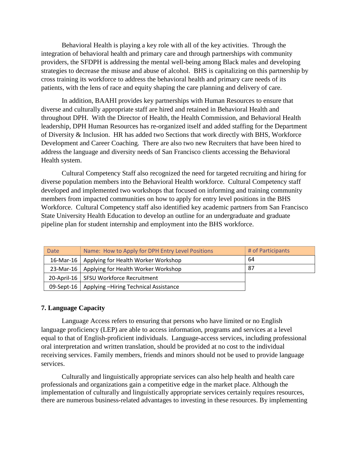Behavioral Health is playing a key role with all of the key activities. Through the integration of behavioral health and primary care and through partnerships with community providers, the SFDPH is addressing the mental well-being among Black males and developing strategies to decrease the misuse and abuse of alcohol. BHS is capitalizing on this partnership by cross training its workforce to address the behavioral health and primary care needs of its patients, with the lens of race and equity shaping the care planning and delivery of care.

In addition, BAAHI provides key partnerships with Human Resources to ensure that diverse and culturally appropriate staff are hired and retained in Behavioral Health and throughout DPH. With the Director of Health, the Health Commission, and Behavioral Health leadership, DPH Human Resources has re-organized itself and added staffing for the Department of Diversity & Inclusion. HR has added two Sections that work directly with BHS, Workforce Development and Career Coaching. There are also two new Recruiters that have been hired to address the language and diversity needs of San Francisco clients accessing the Behavioral Health system.

Cultural Competency Staff also recognized the need for targeted recruiting and hiring for diverse population members into the Behavioral Health workforce. Cultural Competency staff developed and implemented two workshops that focused on informing and training community members from impacted communities on how to apply for entry level positions in the BHS Workforce. Cultural Competency staff also identified key academic partners from San Francisco State University Health Education to develop an outline for an undergraduate and graduate pipeline plan for student internship and employment into the BHS workforce.

| <b>Date</b>   | Name: How to Apply for DPH Entry Level Positions | # of Participants |
|---------------|--------------------------------------------------|-------------------|
|               | 16-Mar-16   Applying for Health Worker Workshop  | 64                |
| $23-Mar-16$   | Applying for Health Worker Workshop              | 87                |
|               | 20-April-16   SFSU Workforce Recruitment         |                   |
| $09$ -Sept-16 | Applying -Hiring Technical Assistance            |                   |

# **7. Language Capacity**

Language Access refers to ensuring that persons who have limited or no English language proficiency (LEP) are able to access information, programs and services at a level equal to that of English-proficient individuals. Language-access services, including professional oral interpretation and written translation, should be provided at no cost to the individual receiving services. Family members, friends and minors should not be used to provide language services.

Culturally and linguistically appropriate services can also help health and health care professionals and organizations gain a competitive edge in the market place. Although the implementation of culturally and linguistically appropriate services certainly requires resources, there are numerous business-related advantages to investing in these resources. By implementing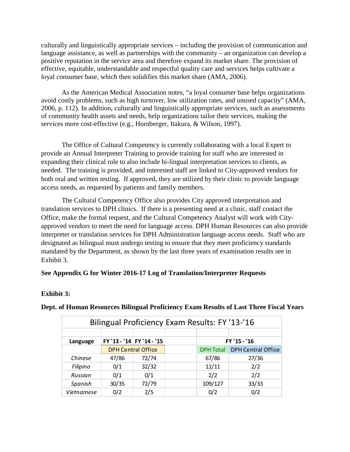culturally and linguistically appropriate services – including the provision of communication and language assistance, as well as partnerships with the community – an organization can develop a positive reputation in the service area and therefore expand its market share. The provision of effective, equitable, understandable and respectful quality care and services helps cultivate a loyal consumer base, which then solidifies this market share (AMA, 2006).

As the American Medical Association notes, "a loyal consumer base helps organizations avoid costly problems, such as high turnover, low utilization rates, and unused capacity" (AMA, 2006, p. 112). In addition, culturally and linguistically appropriate services, such as assessments of community health assets and needs, help organizations tailor their services, making the services more cost-effective (e.g., Hornberger, Itakura, & Wilson, 1997).

The Office of Cultural Competency is currently collaborating with a local Expert to provide an Annual Interpreter Training to provide training for staff who are interested in expanding their clinical role to also include bi-lingual interpretation services to clients, as needed. The training is provided, and interested staff are linked to City-approved vendors for both oral and written testing. If approved, they are utilized by their clinic to provide language access needs, as requested by patients and family members.

The Cultural Competency Office also provides City approved interpretation and translation services to DPH clinics. If there is a presenting need at a clinic, staff contact the Office, make the formal request, and the Cultural Competency Analyst will work with Cityapproved vendors to meet the need for language access. DPH Human Resources can also provide interpreter or translation services for DPH Administration language access needs. Staff who are designated as bilingual must undergo testing to ensure that they meet proficiency standards mandated by the Department, as shown by the last three years of examination results see in Exhibit 3.

# **See Appendix G for Winter 2016-17 Log of Translation/Interpreter Requests**

# **Exhibit 3:**

| Bilingual Proficiency Exam Results: FY '13-'16 |       |                           |  |                  |                           |
|------------------------------------------------|-------|---------------------------|--|------------------|---------------------------|
|                                                |       |                           |  |                  |                           |
| Language                                       |       | FY '13 - '14 FY '14 - '15 |  |                  | FY '15 - '16              |
|                                                |       | <b>DPH Central Office</b> |  | <b>DPH Total</b> | <b>DPH Central Office</b> |
| Chinese                                        | 47/86 | 72/74                     |  | 67/86            | 27/36                     |
| Filipino                                       | 0/1   | 32/32                     |  | 11/11            | 2/2                       |
| Russian                                        | 0/1   | 0/1                       |  | 2/2              | 2/2                       |
| Spanish                                        | 30/35 | 72/79                     |  | 109/127          | 33/33                     |
| <b>Vietnamese</b>                              | 0/2   | 2/5                       |  | 0/2              | 0/2                       |

# **Dept. of Human Resources Bilingual Proficiency Exam Results of Last Three Fiscal Years**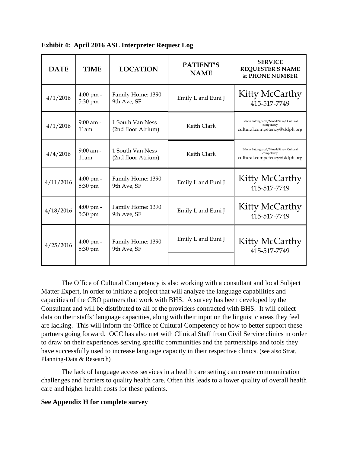| <b>DATE</b> | <b>TIME</b>                    | <b>LOCATION</b>                        | <b>PATIENT'S</b><br><b>NAME</b> | <b>SERVICE</b><br><b>REQUESTER'S NAME</b><br><b>&amp; PHONE NUMBER</b>                |
|-------------|--------------------------------|----------------------------------------|---------------------------------|---------------------------------------------------------------------------------------|
| 4/1/2016    | $4:00$ pm -<br>5:30 pm         | Family Home: 1390<br>9th Ave, SF       | Emily L and Euni J              | Kitty McCarthy<br>415-517-7749                                                        |
| 4/1/2016    | $9:00$ am -<br>11am            | 1 South Van Ness<br>(2nd floor Atrium) | Keith Clark                     | Edwin Batongbacal/NinadaSilva/Cultural<br>competency<br>cultural.competency@sfdph.org |
| 4/4/2016    | $9:00$ am -<br>11am            | 1 South Van Ness<br>(2nd floor Atrium) | Keith Clark                     | Edwin Batongbacal/NinadaSilva/Cultural<br>competency<br>cultural.competency@sfdph.org |
| 4/11/2016   | $4:00 \text{ pm}$ -<br>5:30 pm | Family Home: 1390<br>9th Ave, SF       | Emily L and Euni J              | Kitty McCarthy<br>415-517-7749                                                        |
| 4/18/2016   | $4:00$ pm -<br>5:30 pm         | Family Home: 1390<br>9th Ave, SF       | Emily L and Euni J              | Kitty McCarthy<br>415-517-7749                                                        |
| 4/25/2016   | $4:00 \text{ pm}$ -<br>5:30 pm | Family Home: 1390<br>9th Ave, SF       | Emily L and Euni J              | Kitty McCarthy<br>415-517-7749                                                        |

**Exhibit 4: April 2016 ASL Interpreter Request Log**

The Office of Cultural Competency is also working with a consultant and local Subject Matter Expert, in order to initiate a project that will analyze the language capabilities and capacities of the CBO partners that work with BHS. A survey has been developed by the Consultant and will be distributed to all of the providers contracted with BHS. It will collect data on their staffs' language capacities, along with their input on the linguistic areas they feel are lacking. This will inform the Office of Cultural Competency of how to better support these partners going forward. OCC has also met with Clinical Staff from Civil Service clinics in order to draw on their experiences serving specific communities and the partnerships and tools they have successfully used to increase language capacity in their respective clinics. (see also Strat. Planning-Data & Research)

The lack of language access services in a health care setting can create communication challenges and barriers to quality health care. Often this leads to a lower quality of overall health care and higher health costs for these patients.

#### **See Appendix H for complete survey**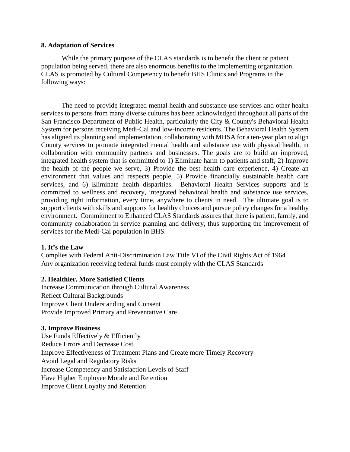#### **8. Adaptation of Services**

While the primary purpose of the CLAS standards is to benefit the client or patient population being served, there are also enormous benefits to the implementing organization. CLAS is promoted by Cultural Competency to benefit BHS Clinics and Programs in the following ways:

The need to provide integrated mental health and substance use services and other health services to persons from many diverse cultures has been acknowledged throughout all parts of the San Francisco Department of Public Health, particularly the City & County's Behavioral Health System for persons receiving Medi-Cal and low-income residents. The Behavioral Health System has aligned its planning and implementation, collaborating with MHSA for a ten-year plan to align County services to promote integrated mental health and substance use with physical health, in collaboration with community partners and businesses. The goals are to build an improved, integrated health system that is committed to 1) Eliminate harm to patients and staff, 2) Improve the health of the people we serve, 3) Provide the best health care experience, 4) Create an environment that values and respects people, 5) Provide financially sustainable health care services, and 6) Eliminate health disparities. Behavioral Health Services supports and is committed to wellness and recovery, integrated behavioral health and substance use services, providing right information, every time, anywhere to clients in need. The ultimate goal is to support clients with skills and supports for healthy choices and pursue policy changes for a healthy environment. Commitment to Enhanced CLAS Standards assures that there is patient, family, and community collaboration in service planning and delivery, thus supporting the improvement of services for the Medi-Cal population in BHS.

#### **1. It's the Law**

Complies with Federal Anti-Discrimination Law Title VI of the Civil Rights Act of 1964 Any organization receiving federal funds must comply with the CLAS Standards

#### **2. Healthier, More Satisfied Clients**

Increase Communication through Cultural Awareness Reflect Cultural Backgrounds Improve Client Understanding and Consent Provide Improved Primary and Preventative Care

#### **3. Improve Business**

Use Funds Effectively & Efficiently Reduce Errors and Decrease Cost Improve Effectiveness of Treatment Plans and Create more Timely Recovery Avoid Legal and Regulatory Risks Increase Competency and Satisfaction Levels of Staff Have Higher Employee Morale and Retention Improve Client Loyalty and Retention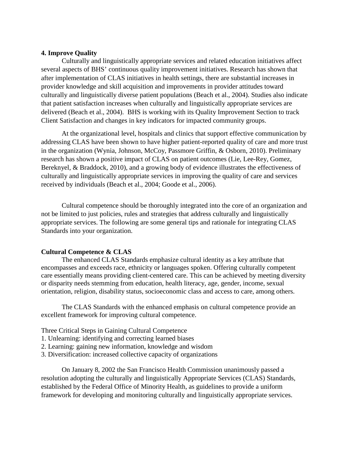#### **4. Improve Quality**

Culturally and linguistically appropriate services and related education initiatives affect several aspects of BHS' continuous quality improvement initiatives. Research has shown that after implementation of CLAS initiatives in health settings, there are substantial increases in provider knowledge and skill acquisition and improvements in provider attitudes toward culturally and linguistically diverse patient populations (Beach et al., 2004). Studies also indicate that patient satisfaction increases when culturally and linguistically appropriate services are delivered (Beach et al., 2004). BHS is working with its Quality Improvement Section to track Client Satisfaction and changes in key indicators for impacted community groups.

At the organizational level, hospitals and clinics that support effective communication by addressing CLAS have been shown to have higher patient-reported quality of care and more trust in the organization (Wynia, Johnson, McCoy, Passmore Griffin, & Osborn, 2010). Preliminary research has shown a positive impact of CLAS on patient outcomes (Lie, Lee-Rey, Gomez, Bereknyel, & Braddock, 2010), and a growing body of evidence illustrates the effectiveness of culturally and linguistically appropriate services in improving the quality of care and services received by individuals (Beach et al., 2004; Goode et al., 2006).

Cultural competence should be thoroughly integrated into the core of an organization and not be limited to just policies, rules and strategies that address culturally and linguistically appropriate services. The following are some general tips and rationale for integrating CLAS Standards into your organization.

#### **Cultural Competence & CLAS**

The enhanced CLAS Standards emphasize cultural identity as a key attribute that encompasses and exceeds race, ethnicity or languages spoken. Offering culturally competent care essentially means providing client-centered care. This can be achieved by meeting diversity or disparity needs stemming from education, health literacy, age, gender, income, sexual orientation, religion, disability status, socioeconomic class and access to care, among others.

The CLAS Standards with the enhanced emphasis on cultural competence provide an excellent framework for improving cultural competence.

Three Critical Steps in Gaining Cultural Competence

- 1. Unlearning: identifying and correcting learned biases
- 2. Learning: gaining new information, knowledge and wisdom
- 3. Diversification: increased collective capacity of organizations

On January 8, 2002 the San Francisco Health Commission unanimously passed a resolution adopting the culturally and linguistically Appropriate Services (CLAS) Standards, established by the Federal Office of Minority Health, as guidelines to provide a uniform framework for developing and monitoring culturally and linguistically appropriate services.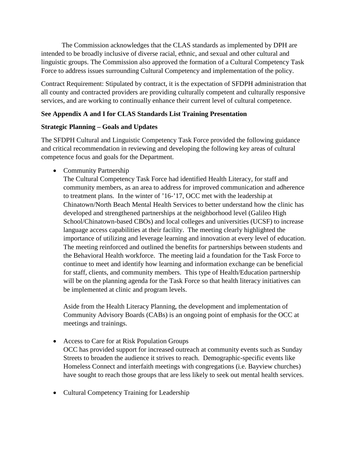The Commission acknowledges that the CLAS standards as implemented by DPH are intended to be broadly inclusive of diverse racial, ethnic, and sexual and other cultural and linguistic groups. The Commission also approved the formation of a Cultural Competency Task Force to address issues surrounding Cultural Competency and implementation of the policy.

Contract Requirement: Stipulated by contract, it is the expectation of SFDPH administration that all county and contracted providers are providing culturally competent and culturally responsive services, and are working to continually enhance their current level of cultural competence.

# **See Appendix A and I for CLAS Standards List Training Presentation**

# **Strategic Planning – Goals and Updates**

The SFDPH Cultural and Linguistic Competency Task Force provided the following guidance and critical recommendation in reviewing and developing the following key areas of cultural competence focus and goals for the Department.

• Community Partnership

The Cultural Competency Task Force had identified Health Literacy, for staff and community members, as an area to address for improved communication and adherence to treatment plans. In the winter of '16-'17, OCC met with the leadership at Chinatown/North Beach Mental Health Services to better understand how the clinic has developed and strengthened partnerships at the neighborhood level (Galileo High School/Chinatown-based CBOs) and local colleges and universities (UCSF) to increase language access capabilities at their facility. The meeting clearly highlighted the importance of utilizing and leverage learning and innovation at every level of education. The meeting reinforced and outlined the benefits for partnerships between students and the Behavioral Health workforce. The meeting laid a foundation for the Task Force to continue to meet and identify how learning and information exchange can be beneficial for staff, clients, and community members. This type of Health/Education partnership will be on the planning agenda for the Task Force so that health literacy initiatives can be implemented at clinic and program levels.

Aside from the Health Literacy Planning, the development and implementation of Community Advisory Boards (CABs) is an ongoing point of emphasis for the OCC at meetings and trainings.

- Access to Care for at Risk Population Groups OCC has provided support for increased outreach at community events such as Sunday Streets to broaden the audience it strives to reach. Demographic-specific events like Homeless Connect and interfaith meetings with congregations (i.e. Bayview churches) have sought to reach those groups that are less likely to seek out mental health services.
- Cultural Competency Training for Leadership